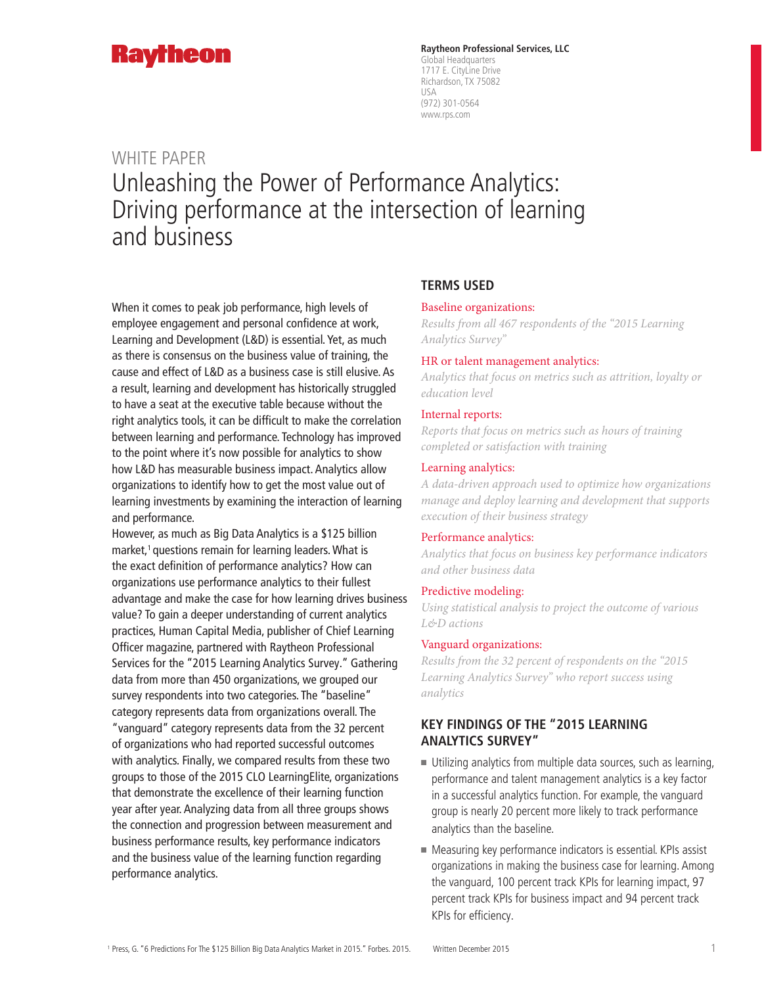

**Raytheon Professional Services, LLC** Global Headquarters 1717 E. CityLine Drive Richardson, TX 75082 USA (972) 301-0564 www.rps.com

# WHITE PAPER Unleashing the Power of Performance Analytics: Driving performance at the intersection of learning and business

When it comes to peak job performance, high levels of employee engagement and personal confidence at work, Learning and Development (L&D) is essential. Yet, as much as there is consensus on the business value of training, the cause and effect of L&D as a business case is still elusive. As a result, learning and development has historically struggled to have a seat at the executive table because without the right analytics tools, it can be difficult to make the correlation between learning and performance. Technology has improved to the point where it's now possible for analytics to show how L&D has measurable business impact. Analytics allow organizations to identify how to get the most value out of learning investments by examining the interaction of learning and performance.

However, as much as Big Data Analytics is a \$125 billion market, $<sup>1</sup>$  questions remain for learning leaders. What is</sup> the exact definition of performance analytics? How can organizations use performance analytics to their fullest advantage and make the case for how learning drives business value? To gain a deeper understanding of current analytics practices, Human Capital Media, publisher of Chief Learning Officer magazine, partnered with Raytheon Professional Services for the "2015 Learning Analytics Survey." Gathering data from more than 450 organizations, we grouped our survey respondents into two categories. The "baseline" category represents data from organizations overall. The "vanguard" category represents data from the 32 percent of organizations who had reported successful outcomes with analytics. Finally, we compared results from these two groups to those of the 2015 CLO LearningElite, organizations that demonstrate the excellence of their learning function year after year. Analyzing data from all three groups shows the connection and progression between measurement and business performance results, key performance indicators and the business value of the learning function regarding performance analytics.

### **TERMS USED**

#### Baseline organizations:

*Results from all 467 respondents of the "2015 Learning Analytics Survey"*

#### HR or talent management analytics:

*Analytics that focus on metrics such as attrition, loyalty or education level*

#### Internal reports:

*Reports that focus on metrics such as hours of training completed or satisfaction with training*

#### Learning analytics:

*A data-driven approach used to optimize how organizations manage and deploy learning and development that supports execution of their business strategy*

#### Performance analytics:

*Analytics that focus on business key performance indicators and other business data*

#### Predictive modeling:

*Using statistical analysis to project the outcome of various L&D actions*

#### Vanguard organizations:

*Results from the 32 percent of respondents on the "2015 Learning Analytics Survey" who report success using analytics*

## **KEY FINDINGS OF THE "2015 LEARNING ANALYTICS SURVEY"**

- $\blacksquare$  Utilizing analytics from multiple data sources, such as learning, performance and talent management analytics is a key factor in a successful analytics function. For example, the vanguard group is nearly 20 percent more likely to track performance analytics than the baseline.
- $\blacksquare$  Measuring key performance indicators is essential. KPIs assist organizations in making the business case for learning. Among the vanguard, 100 percent track KPIs for learning impact, 97 percent track KPIs for business impact and 94 percent track KPIs for efficiency.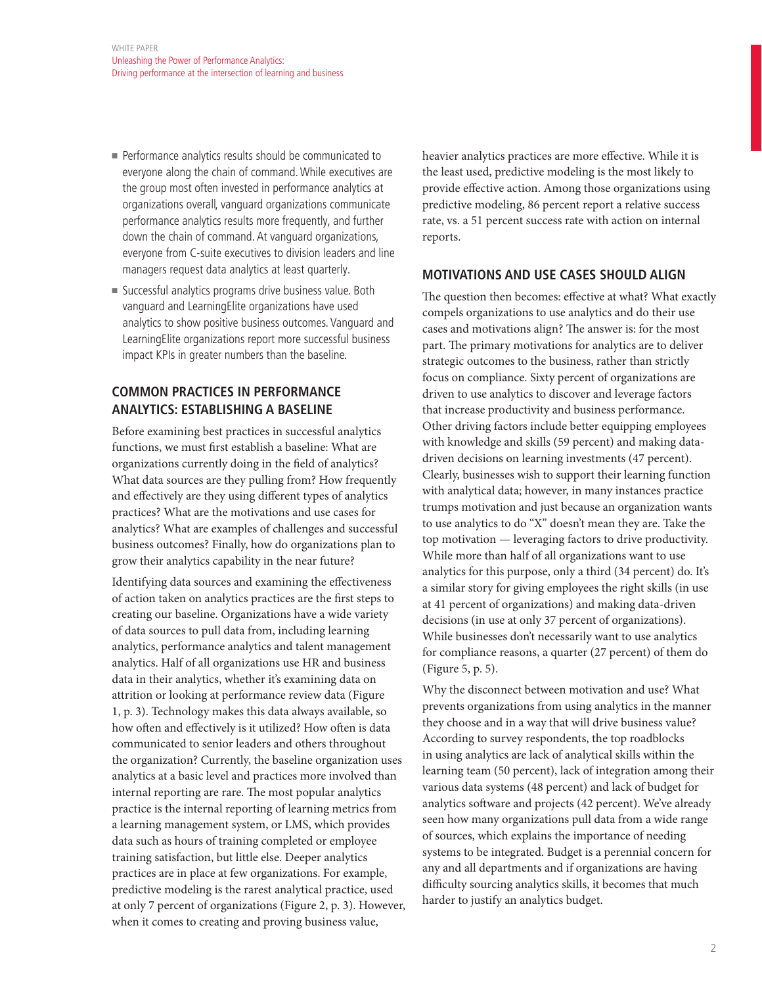- Performance analytics results should be communicated to everyone along the chain of command. While executives are the group most often invested in performance analytics at organizations overall, vanguard organizations communicate performance analytics results more frequently, and further down the chain of command. At vanguard organizations, everyone from C-suite executives to division leaders and line managers request data analytics at least quarterly.
- successful analytics programs drive business value. Both vanguard and LearningElite organizations have used analytics to show positive business outcomes. Vanguard and LearningElite organizations report more successful business impact KPIs in greater numbers than the baseline.

## **COMMON PRACTICES IN PERFORMANCE ANALYTICS: ESTABLISHING A BASELINE**

Before examining best practices in successful analytics functions, we must first establish a baseline: What are organizations currently doing in the field of analytics? What data sources are they pulling from? How frequently and effectively are they using different types of analytics practices? What are the motivations and use cases for analytics? What are examples of challenges and successful business outcomes? Finally, how do organizations plan to grow their analytics capability in the near future?

Identifying data sources and examining the effectiveness of action taken on analytics practices are the first steps to creating our baseline. Organizations have a wide variety of data sources to pull data from, including learning analytics, performance analytics and talent management analytics. Half of all organizations use HR and business data in their analytics, whether it's examining data on attrition or looking at performance review data (Figure 1, p. 3). Technology makes this data always available, so how often and effectively is it utilized? How often is data communicated to senior leaders and others throughout the organization? Currently, the baseline organization uses analytics at a basic level and practices more involved than internal reporting are rare. The most popular analytics practice is the internal reporting of learning metrics from a learning management system, or LMS, which provides data such as hours of training completed or employee training satisfaction, but little else. Deeper analytics practices are in place at few organizations. For example, predictive modeling is the rarest analytical practice, used at only 7 percent of organizations (Figure 2, p. 3). However, when it comes to creating and proving business value,

heavier analytics practices are more effective. While it is the least used, predictive modeling is the most likely to provide effective action. Among those organizations using predictive modeling, 86 percent report a relative success rate, vs. a 51 percent success rate with action on internal reports.

## **MOTIVATIONS AND USE CASES SHOULD ALIGN**

The question then becomes: effective at what? What exactly compels organizations to use analytics and do their use cases and motivations align? The answer is: for the most part. The primary motivations for analytics are to deliver strategic outcomes to the business, rather than strictly focus on compliance. Sixty percent of organizations are driven to use analytics to discover and leverage factors that increase productivity and business performance. Other driving factors include better equipping employees with knowledge and skills (59 percent) and making datadriven decisions on learning investments (47 percent). Clearly, businesses wish to support their learning function with analytical data; however, in many instances practice trumps motivation and just because an organization wants to use analytics to do "X" doesn't mean they are. Take the top motivation — leveraging factors to drive productivity. While more than half of all organizations want to use analytics for this purpose, only a third (34 percent) do. It's a similar story for giving employees the right skills (in use at 41 percent of organizations) and making data-driven decisions (in use at only 37 percent of organizations). While businesses don't necessarily want to use analytics for compliance reasons, a quarter (27 percent) of them do (Figure 5, p. 5).

Why the disconnect between motivation and use? What prevents organizations from using analytics in the manner they choose and in a way that will drive business value? According to survey respondents, the top roadblocks in using analytics are lack of analytical skills within the learning team (50 percent), lack of integration among their various data systems (48 percent) and lack of budget for analytics software and projects (42 percent). We've already seen how many organizations pull data from a wide range of sources, which explains the importance of needing systems to be integrated. Budget is a perennial concern for any and all departments and if organizations are having difficulty sourcing analytics skills, it becomes that much harder to justify an analytics budget.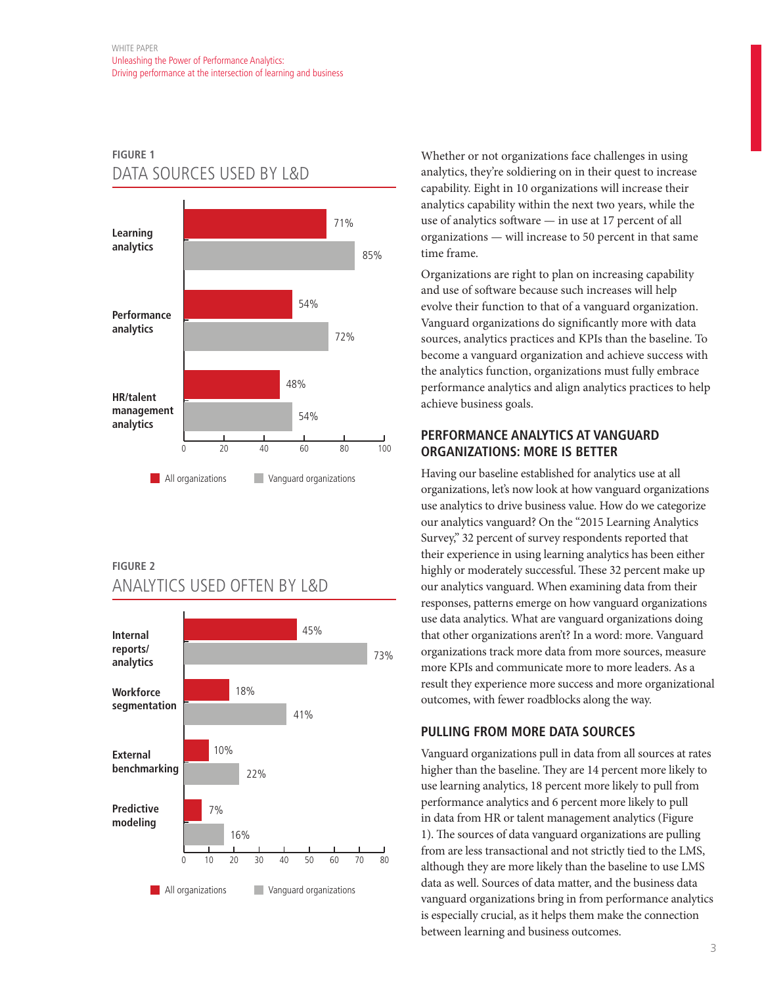# **FIGURE 1** DATA SOURCES USED BY L&D



## **FIGURE 2** ANALYTICS USED OFTEN BY L&D



Whether or not organizations face challenges in using analytics, they're soldiering on in their quest to increase capability. Eight in 10 organizations will increase their analytics capability within the next two years, while the use of analytics software — in use at 17 percent of all organizations — will increase to 50 percent in that same time frame.

Organizations are right to plan on increasing capability and use of software because such increases will help evolve their function to that of a vanguard organization. Vanguard organizations do significantly more with data sources, analytics practices and KPIs than the baseline. To become a vanguard organization and achieve success with the analytics function, organizations must fully embrace performance analytics and align analytics practices to help achieve business goals.

## **PERFORMANCE ANALYTICS AT VANGUARD ORGANIZATIONS: MORE IS BETTER**

Having our baseline established for analytics use at all organizations, let's now look at how vanguard organizations use analytics to drive business value. How do we categorize our analytics vanguard? On the "2015 Learning Analytics Survey," 32 percent of survey respondents reported that their experience in using learning analytics has been either highly or moderately successful. These 32 percent make up our analytics vanguard. When examining data from their responses, patterns emerge on how vanguard organizations use data analytics. What are vanguard organizations doing that other organizations aren't? In a word: more. Vanguard organizations track more data from more sources, measure more KPIs and communicate more to more leaders. As a result they experience more success and more organizational outcomes, with fewer roadblocks along the way.

## **PULLING FROM MORE DATA SOURCES**

Vanguard organizations pull in data from all sources at rates higher than the baseline. They are 14 percent more likely to use learning analytics, 18 percent more likely to pull from performance analytics and 6 percent more likely to pull in data from HR or talent management analytics (Figure 1). The sources of data vanguard organizations are pulling from are less transactional and not strictly tied to the LMS, although they are more likely than the baseline to use LMS data as well. Sources of data matter, and the business data vanguard organizations bring in from performance analytics is especially crucial, as it helps them make the connection between learning and business outcomes.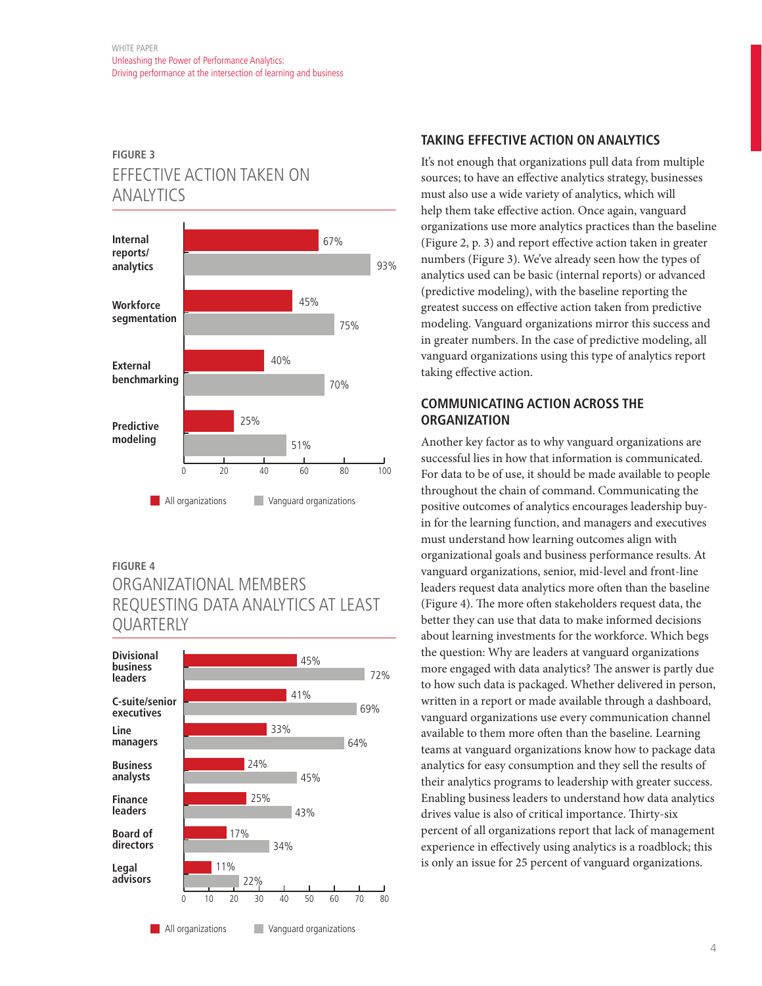# **FIGURE 3** EFFECTIVE ACTION TAKEN ON ANALYTICS



### **FIGURE 4**

# ORGANIZATIONAL MEMBERS REQUESTING DATA ANALYTICS AT LEAST QUARTERLY



## **TAKING EFFECTIVE ACTION ON ANALYTICS**

It's not enough that organizations pull data from multiple sources; to have an effective analytics strategy, businesses must also use a wide variety of analytics, which will help them take effective action. Once again, vanguard organizations use more analytics practices than the baseline (Figure 2, p. 3) and report effective action taken in greater numbers (Figure 3). We've already seen how the types of analytics used can be basic (internal reports) or advanced (predictive modeling), with the baseline reporting the greatest success on effective action taken from predictive modeling. Vanguard organizations mirror this success and in greater numbers. In the case of predictive modeling, all vanguard organizations using this type of analytics report taking effective action.

## **COMMUNICATING ACTION ACROSS THE ORGANIZATION**

Another key factor as to why vanguard organizations are successful lies in how that information is communicated. For data to be of use, it should be made available to people throughout the chain of command. Communicating the positive outcomes of analytics encourages leadership buyin for the learning function, and managers and executives must understand how learning outcomes align with organizational goals and business performance results. At vanguard organizations, senior, mid-level and front-line leaders request data analytics more often than the baseline (Figure 4). The more often stakeholders request data, the better they can use that data to make informed decisions about learning investments for the workforce. Which begs the question: Why are leaders at vanguard organizations more engaged with data analytics? The answer is partly due to how such data is packaged. Whether delivered in person, written in a report or made available through a dashboard, vanguard organizations use every communication channel available to them more often than the baseline. Learning teams at vanguard organizations know how to package data analytics for easy consumption and they sell the results of their analytics programs to leadership with greater success. Enabling business leaders to understand how data analytics drives value is also of critical importance. Thirty-six percent of all organizations report that lack of management experience in effectively using analytics is a roadblock; this is only an issue for 25 percent of vanguard organizations.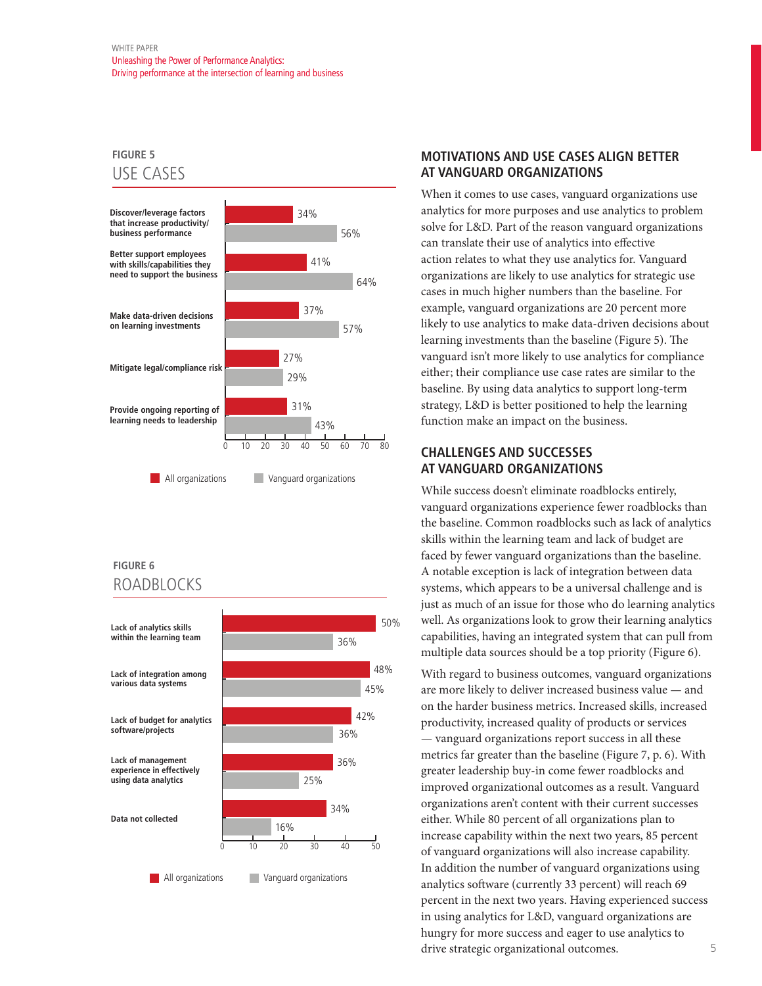## **FIGURE 5** USE CASES



## **FIGURE 6** ROADBLOCKS



## **MOTIVATIONS AND USE CASES ALIGN BETTER AT VANGUARD ORGANIZATIONS**

When it comes to use cases, vanguard organizations use analytics for more purposes and use analytics to problem solve for L&D. Part of the reason vanguard organizations can translate their use of analytics into effective action relates to what they use analytics for. Vanguard organizations are likely to use analytics for strategic use cases in much higher numbers than the baseline. For example, vanguard organizations are 20 percent more likely to use analytics to make data-driven decisions about learning investments than the baseline (Figure 5). The vanguard isn't more likely to use analytics for compliance either; their compliance use case rates are similar to the baseline. By using data analytics to support long-term strategy, L&D is better positioned to help the learning function make an impact on the business.

## **CHALLENGES AND SUCCESSES AT VANGUARD ORGANIZATIONS**

While success doesn't eliminate roadblocks entirely, vanguard organizations experience fewer roadblocks than the baseline. Common roadblocks such as lack of analytics skills within the learning team and lack of budget are faced by fewer vanguard organizations than the baseline. A notable exception is lack of integration between data systems, which appears to be a universal challenge and is just as much of an issue for those who do learning analytics well. As organizations look to grow their learning analytics capabilities, having an integrated system that can pull from multiple data sources should be a top priority (Figure 6).

With regard to business outcomes, vanguard organizations are more likely to deliver increased business value — and on the harder business metrics. Increased skills, increased productivity, increased quality of products or services — vanguard organizations report success in all these metrics far greater than the baseline (Figure 7, p. 6). With greater leadership buy-in come fewer roadblocks and improved organizational outcomes as a result. Vanguard organizations aren't content with their current successes either. While 80 percent of all organizations plan to increase capability within the next two years, 85 percent of vanguard organizations will also increase capability. In addition the number of vanguard organizations using analytics software (currently 33 percent) will reach 69 percent in the next two years. Having experienced success in using analytics for L&D, vanguard organizations are hungry for more success and eager to use analytics to drive strategic organizational outcomes.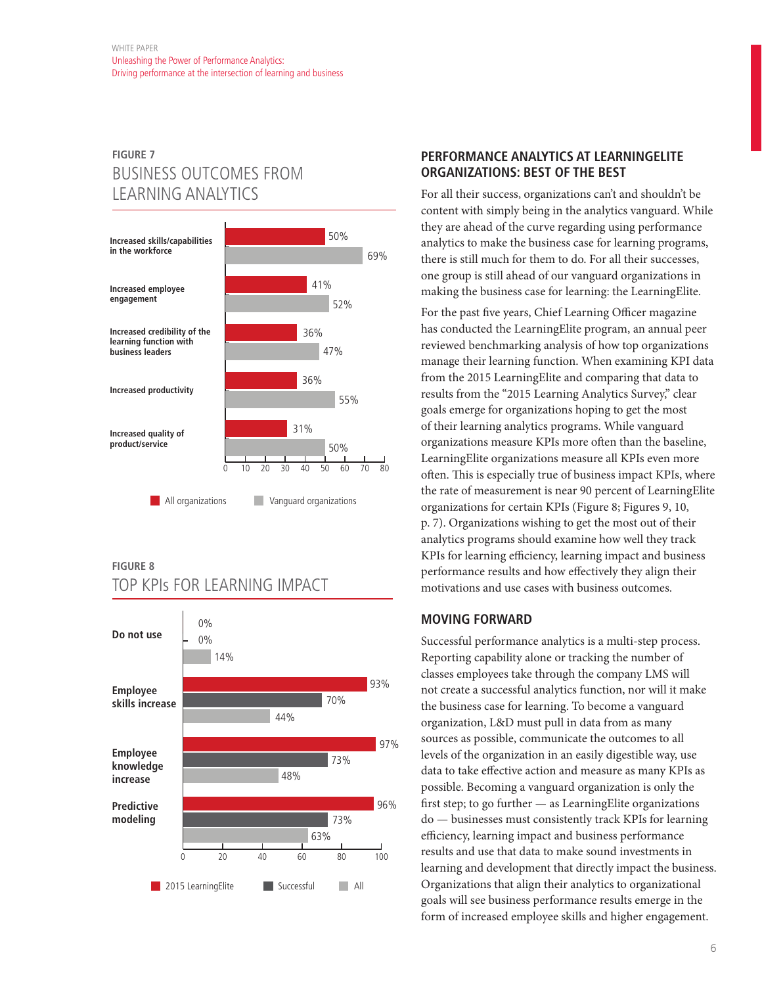# **FIGURE 7** BUSINESS OUTCOMES FROM LEARNING ANALYTICS



## **FIGURE 8** TOP KPIs FOR LEARNING IMPACT



## **PERFORMANCE ANALYTICS AT LEARNINGELITE ORGANIZATIONS: BEST OF THE BEST**

For all their success, organizations can't and shouldn't be content with simply being in the analytics vanguard. While they are ahead of the curve regarding using performance analytics to make the business case for learning programs, there is still much for them to do. For all their successes, one group is still ahead of our vanguard organizations in making the business case for learning: the LearningElite.

For the past five years, Chief Learning Officer magazine has conducted the LearningElite program, an annual peer reviewed benchmarking analysis of how top organizations manage their learning function. When examining KPI data from the 2015 LearningElite and comparing that data to results from the "2015 Learning Analytics Survey," clear goals emerge for organizations hoping to get the most of their learning analytics programs. While vanguard organizations measure KPIs more often than the baseline, LearningElite organizations measure all KPIs even more often. This is especially true of business impact KPIs, where the rate of measurement is near 90 percent of LearningElite organizations for certain KPIs (Figure 8; Figures 9, 10, p. 7). Organizations wishing to get the most out of their analytics programs should examine how well they track KPIs for learning efficiency, learning impact and business performance results and how effectively they align their motivations and use cases with business outcomes.

## **MOVING FORWARD**

Successful performance analytics is a multi-step process. Reporting capability alone or tracking the number of classes employees take through the company LMS will not create a successful analytics function, nor will it make the business case for learning. To become a vanguard organization, L&D must pull in data from as many sources as possible, communicate the outcomes to all levels of the organization in an easily digestible way, use data to take effective action and measure as many KPIs as possible. Becoming a vanguard organization is only the first step; to go further — as LearningElite organizations do — businesses must consistently track KPIs for learning efficiency, learning impact and business performance results and use that data to make sound investments in learning and development that directly impact the business. Organizations that align their analytics to organizational goals will see business performance results emerge in the form of increased employee skills and higher engagement.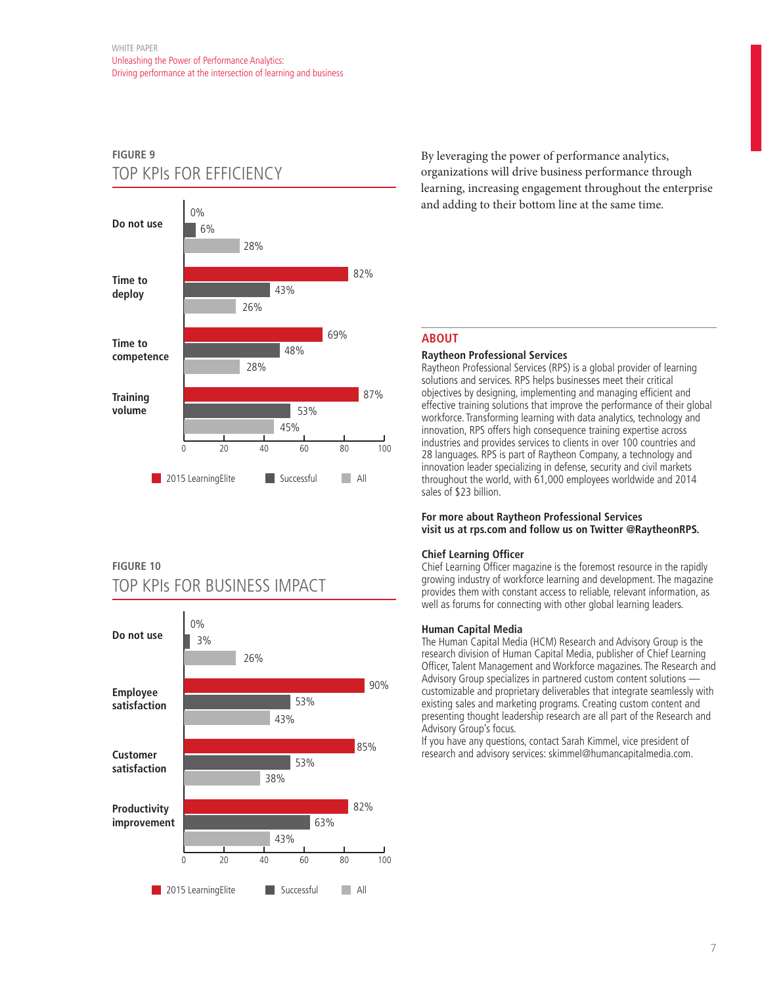# **FIGURE 9** TOP KPIs FOR EFFICIENCY



## **FIGURE 10**

# TOP KPIs FOR BUSINESS IMPACT



By leveraging the power of performance analytics, organizations will drive business performance through learning, increasing engagement throughout the enterprise and adding to their bottom line at the same time.

## **ABOUT**

### **Raytheon Professional Services**

Raytheon Professional Services (RPS) is a global provider of learning solutions and services. RPS helps businesses meet their critical objectives by designing, implementing and managing efficient and effective training solutions that improve the performance of their global workforce. Transforming learning with data analytics, technology and innovation, RPS offers high consequence training expertise across industries and provides services to clients in over 100 countries and 28 languages. RPS is part of Raytheon Company, a technology and innovation leader specializing in defense, security and civil markets throughout the world, with 61,000 employees worldwide and 2014 sales of \$23 billion.

#### **For more about Raytheon Professional Services visit us at rps.com and follow us on Twitter @RaytheonRPS.**

### **Chief Learning Officer**

Chief Learning Officer magazine is the foremost resource in the rapidly growing industry of workforce learning and development. The magazine provides them with constant access to reliable, relevant information, as well as forums for connecting with other global learning leaders.

#### **Human Capital Media**

The Human Capital Media (HCM) Research and Advisory Group is the research division of Human Capital Media, publisher of Chief Learning Officer, Talent Management and Workforce magazines. The Research and Advisory Group specializes in partnered custom content solutions customizable and proprietary deliverables that integrate seamlessly with existing sales and marketing programs. Creating custom content and presenting thought leadership research are all part of the Research and Advisory Group's focus.

If you have any questions, contact Sarah Kimmel, vice president of research and advisory services: skimmel@humancapitalmedia.com.